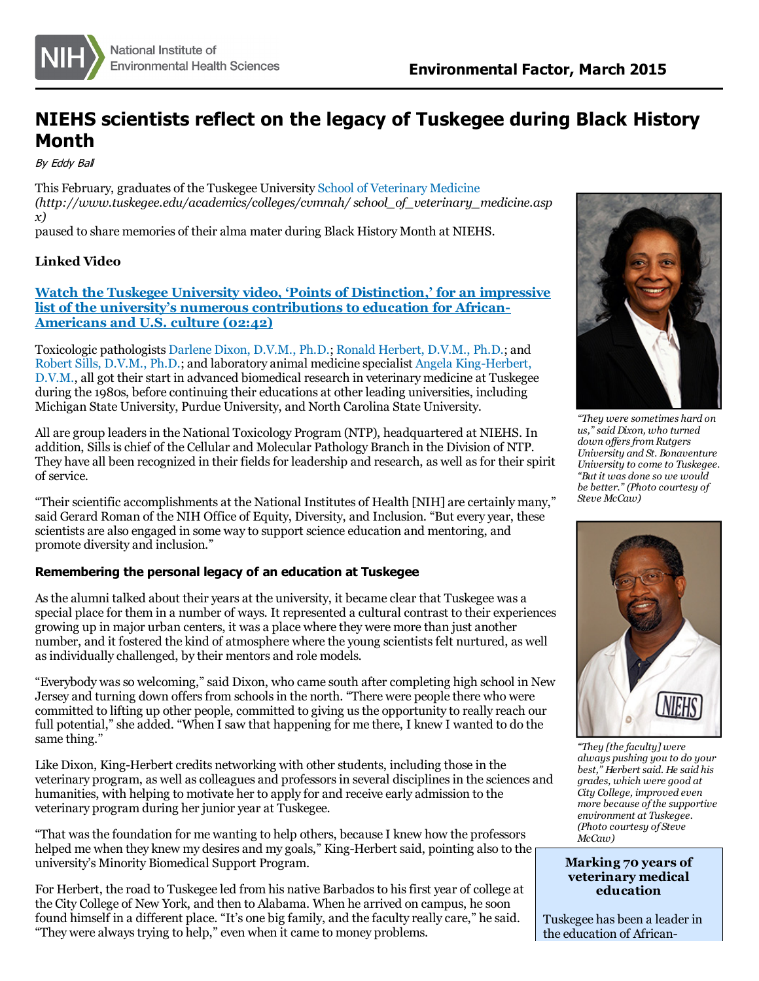

## **NIEHS scientists reflect on the legacy of Tuskegee during Black History Month**

By Eddy Bal

This February, graduates of the Tuskegee University School of [Veterinary](http://www.tuskegee.edu/academics/colleges/cvmnah/school_of_veterinary_medicine.aspx) Medicine *(http://www.tuskegee.edu/academics/colleges/cvmnah/ school\_of\_veterinary\_medicine.asp x)*

paused to share memories of their alma mater during Black History Month at NIEHS.

## **Linked Video**

**Watch the Tuskegee University video, 'Points of Distinction,' for an impressive list of the university's numerous [contributions](http://www.tuskegee.edu/about_us/points_of_distinction.aspx) to education for African-Americans and U.S. culture (02:42)**

Toxicologic pathologists [Darlene](http://www.niehs.nih.gov/research/atniehs/labs/ntp/comp_path/index.cfm) Dixon, D.V.M., Ph.D.; Ronald [Herbert,](http://www.niehs.nih.gov/research/atniehs/labs/lep/path-support/index.cfm) D.V.M., Ph.D.; and Robert Sills, [D.V.M.,](http://www.niehs.nih.gov/research/atniehs/labs/lep/staff/sills/index.cfm) Ph.D.; and laboratory animal medicine specialist Angela [King-Herbert,](http://www.niehs.nih.gov/research/atniehs/labs/lep/ntp-lam/index.cfm) D.V.M., all got their start in advanced biomedical research in veterinary medicine at Tuskegee during the 1980s, before continuing their educations at other leading universities, including Michigan State University, Purdue University, and North Carolina State University.

All are group leadersin the National Toxicology Program (NTP), headquartered at NIEHS. In addition, Sills is chief of the Cellular and Molecular Pathology Branch in the Division of NTP. They have all been recognized in their fields for leadership and research, as well as for their spirit of service.

"Their scientific accomplishments at the National Institutes of Health [NIH] are certainly many," said Gerard Roman of the NIH Office of Equity, Diversity, and Inclusion. "But every year, these scientists are also engaged in some way to support science education and mentoring, and promote diversity and inclusion."

## **Remembering the personal legacy of an education at Tuskegee**

Asthe alumni talked about their years at the university, it became clear that Tuskegee was a special place for them in a number of ways. It represented a cultural contrast to their experiences growing up in major urban centers, it was a place where they were more than just another number, and it fostered the kind of atmosphere where the young scientistsfelt nurtured, as well as individually challenged, by their mentors and role models.

"Everybody was so welcoming," said Dixon, who came south after completing high school in New Jersey and turning down offersfrom schoolsin the north. "There were people there who were committed to lifting up other people, committed to giving usthe opportunity to really reach our full potential," she added. "When I saw that happening for me there, I knew I wanted to do the same thing."

Like Dixon, King-Herbert credits networking with other students, including those in the veterinary program, as well as colleagues and professors in several disciplines in the sciences and humanities, with helping to motivate her to apply for and receive early admission to the veterinary program during her junior year at Tuskegee.

"That wasthe foundation for me wanting to help others, because I knew how the professors helped me when they knew my desires and my goals," King-Herbert said, pointing also to the university's Minority Biomedical Support Program.

For Herbert, the road to Tuskegee led from his native Barbados to his first year of college at the City College of New York, and then to Alabama. When he arrived on campus, he soon found himself in a different place. "It's one big family, and the faculty really care," he said. "They were alwaystrying to help," even when it came to money problems.



*"They were sometimes hard on us," said Dixon, who turned down of ersfrom Rutgers University and St. Bonaventure University to come to Tuskegee. "But it was done so we would be better." (Photo courtesy of Steve McCaw)*



*"They [the faculty] were always pushing you to do your best," Herbert said. He said his grades, which were good at*  $\overline{C}$  *more because of the supportive environment at Tuskegee. (Photo courtesy of Steve McCaw)*

## **Marking 70 years of veterinary medical education**

Tuskegee has been a leader in the education of African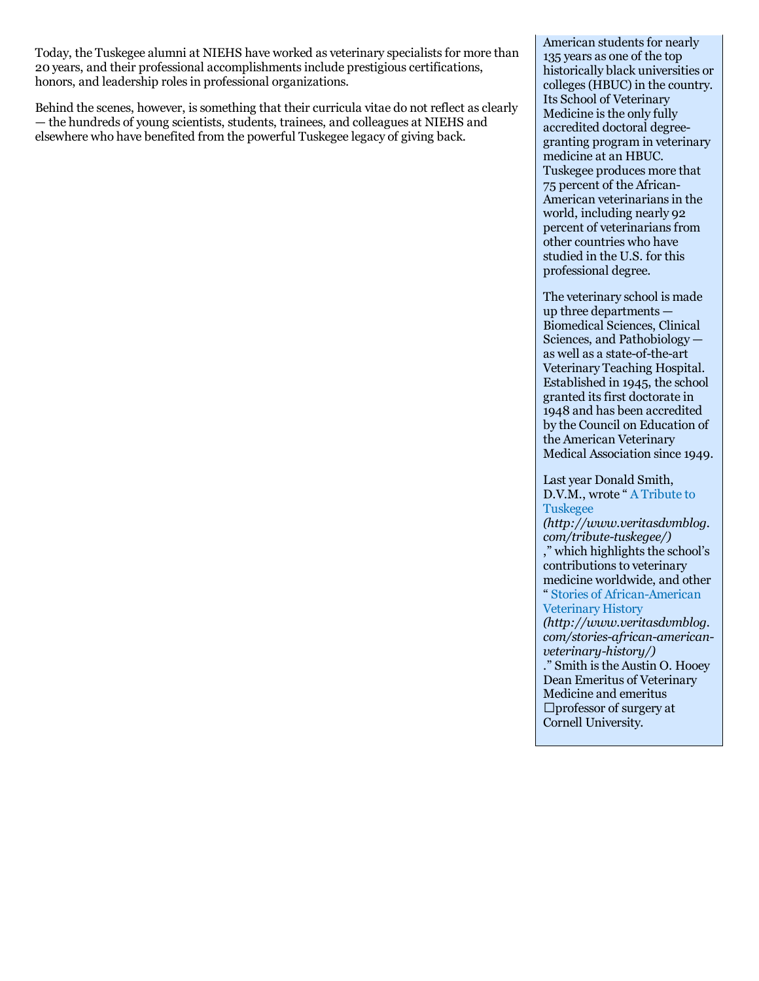Today, the Tuskegee alumni at NIEHS have worked as veterinary specialists for more than 20 years, and their professional accomplishmentsinclude prestigiouscertifications, honors, and leadership roles in professional organizations.

Behind the scenes, however, is something that their curricula vitae do not reflect as clearly — the hundreds of young scientists, students, trainees, and colleagues at NIEHS and elsewhere who have benefited from the powerful Tuskegee legacy of giving back.

American students for nearly 135 years as one of the top historically black universities or colleges(HBUC) in the country. Its School of Veterinary Medicine is the only fully accredited doctoral degreegranting program in veterinary medicine at an HBUC. Tuskegee produces more that 75 percent of the African-American veterinarians in the world, including nearly 92 percent of veterinarians from other countries who have studied in the U.S. for this professional degree.

The veterinary school is made up three departments — Biomedical Sciences, Clinical Sciences, and Pathobiology as well as a state-of-the-art Veterinary Teaching Hospital. Established in 1945, the school granted itsfirst doctorate in 1948 and has been accredited by the Council on Education of the American Veterinary Medical Association since 1949.

Last year Donald Smith, D.V.M., wrote " A Tribute to [Tuskegee](http://www.veritasdvmblog.com/tribute-tuskegee/) *(http://www.veritasdvmblog. com/tribute-tuskegee/)* ," which highlights the school's contributions to veterinary medicine worldwide, and other " Stories of [African-American](http://www.veritasdvmblog.com/stories-african-american-veterinary-history/) Veterinary History *(http://www.veritasdvmblog. com/stories-african-americanveterinary-history/)* ." Smith isthe Austin O. Hooey Dean Emeritus of Veterinary Medicine and emeritus

professor of surgery at Cornell University.